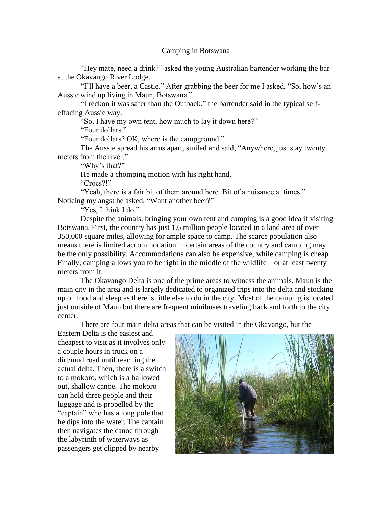## Camping in Botswana

"Hey mate, need a drink?" asked the young Australian bartender working the bar at the Okavango River Lodge.

"I'll have a beer, a Castle." After grabbing the beer for me I asked, "So, how's an Aussie wind up living in Maun, Botswana."

"I reckon it was safer than the Outback." the bartender said in the typical selfeffacing Aussie way.

"So, I have my own tent, how much to lay it down here?"

"Four dollars."

"Four dollars? OK, where is the campground."

The Aussie spread his arms apart, smiled and said, "Anywhere, just stay twenty meters from the river."

"Why's that?"

He made a chomping motion with his right hand.

"Crocs?!"

"Yeah, there is a fair bit of them around here. Bit of a nuisance at times." Noticing my angst he asked, "Want another beer?"

"Yes, I think I do."

Despite the animals, bringing your own tent and camping is a good idea if visiting Botswana. First, the country has just 1.6 million people located in a land area of over 350,000 square miles, allowing for ample space to camp. The scarce population also means there is limited accommodation in certain areas of the country and camping may be the only possibility. Accommodations can also be expensive, while camping is cheap. Finally, camping allows you to be right in the middle of the wildlife – or at least twenty meters from it.

The Okavango Delta is one of the prime areas to witness the animals. Maun is the main city in the area and is largely dedicated to organized trips into the delta and stocking up on food and sleep as there is little else to do in the city. Most of the camping is located just outside of Maun but there are frequent minibuses traveling back and forth to the city center.

There are four main delta areas that can be visited in the Okavango, but the

Eastern Delta is the easiest and cheapest to visit as it involves only a couple hours in truck on a dirt/mud road until reaching the actual delta. Then, there is a switch to a mokoro, which is a hallowed out, shallow canoe. The mokoro can hold three people and their luggage and is propelled by the "captain" who has a long pole that he dips into the water. The captain then navigates the canoe through the labyrinth of waterways as passengers get clipped by nearby

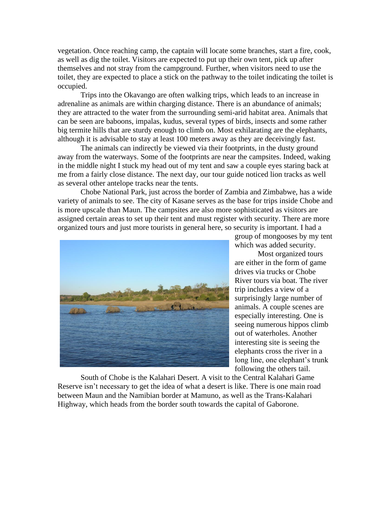vegetation. Once reaching camp, the captain will locate some branches, start a fire, cook, as well as dig the toilet. Visitors are expected to put up their own tent, pick up after themselves and not stray from the campground. Further, when visitors need to use the toilet, they are expected to place a stick on the pathway to the toilet indicating the toilet is occupied.

Trips into the Okavango are often walking trips, which leads to an increase in adrenaline as animals are within charging distance. There is an abundance of animals; they are attracted to the water from the surrounding semi-arid habitat area. Animals that can be seen are baboons, impalas, kudus, several types of birds, insects and some rather big termite hills that are sturdy enough to climb on. Most exhilarating are the elephants, although it is advisable to stay at least 100 meters away as they are deceivingly fast.

The animals can indirectly be viewed via their footprints, in the dusty ground away from the waterways. Some of the footprints are near the campsites. Indeed, waking in the middle night I stuck my head out of my tent and saw a couple eyes staring back at me from a fairly close distance. The next day, our tour guide noticed lion tracks as well as several other antelope tracks near the tents.

Chobe National Park, just across the border of Zambia and Zimbabwe, has a wide variety of animals to see. The city of Kasane serves as the base for trips inside Chobe and is more upscale than Maun. The campsites are also more sophisticated as visitors are assigned certain areas to set up their tent and must register with security. There are more organized tours and just more tourists in general here, so security is important. I had a



group of mongooses by my tent which was added security.

Most organized tours are either in the form of game drives via trucks or Chobe River tours via boat. The river trip includes a view of a surprisingly large number of animals. A couple scenes are especially interesting. One is seeing numerous hippos climb out of waterholes. Another interesting site is seeing the elephants cross the river in a long line, one elephant's trunk following the others tail.

South of Chobe is the Kalahari Desert. A visit to the Central Kalahari Game Reserve isn't necessary to get the idea of what a desert is like. There is one main road between Maun and the Namibian border at Mamuno, as well as the Trans-Kalahari Highway, which heads from the border south towards the capital of Gaborone.